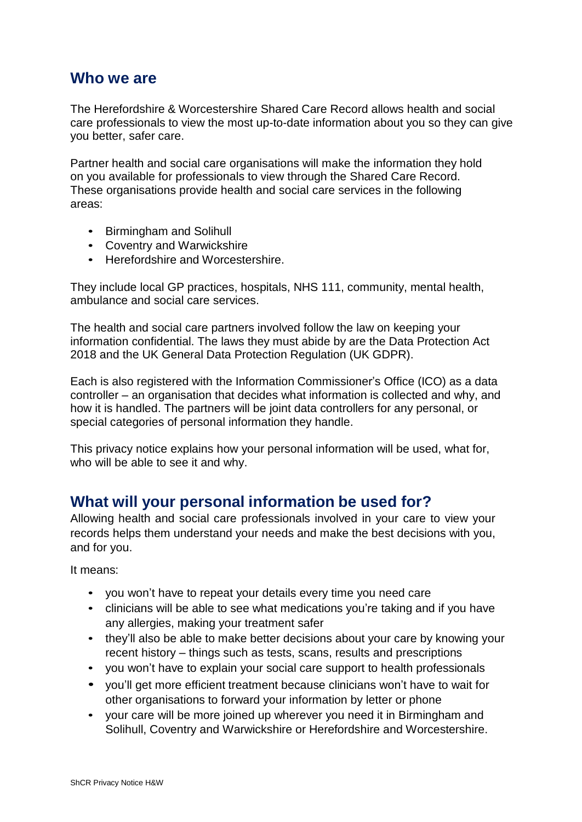### **Who we are**

The Herefordshire & Worcestershire Shared Care Record allows health and social care professionals to view the most up-to-date information about you so they can give you better, safer care.

Partner health and social care organisations will make the information they hold on you available for professionals to view through the Shared Care Record. These organisations provide health and social care services in the following areas:

- Birmingham and Solihull
- Coventry and Warwickshire
- Herefordshire and Worcestershire.

They include local GP practices, hospitals, NHS 111, community, mental health, ambulance and social care services.

The health and social care partners involved follow the law on keeping your information confidential. The laws they must abide by are the Data Protection Act 2018 and the UK General Data Protection Regulation (UK GDPR).

Each is also registered with the Information Commissioner's Office (ICO) as a data controller – an organisation that decides what information is collected and why, and how it is handled. The partners will be joint data controllers for any personal, or special categories of personal information they handle.

This privacy notice explains how your personal information will be used, what for, who will be able to see it and why.

### **What will your personal information be used for?**

Allowing health and social care professionals involved in your care to view your records helps them understand your needs and make the best decisions with you, and for you.

It means:

- you won't have to repeat your details every time you need care
- clinicians will be able to see what medications you're taking and if you have any allergies, making your treatment safer
- they'll also be able to make better decisions about your care by knowing your recent history – things such as tests, scans, results and prescriptions
- you won't have to explain your social care support to health professionals
- you'll get more efficient treatment because clinicians won't have to wait for other organisations to forward your information by letter or phone
- vour care will be more joined up wherever you need it in Birmingham and Solihull, Coventry and Warwickshire or Herefordshire and Worcestershire.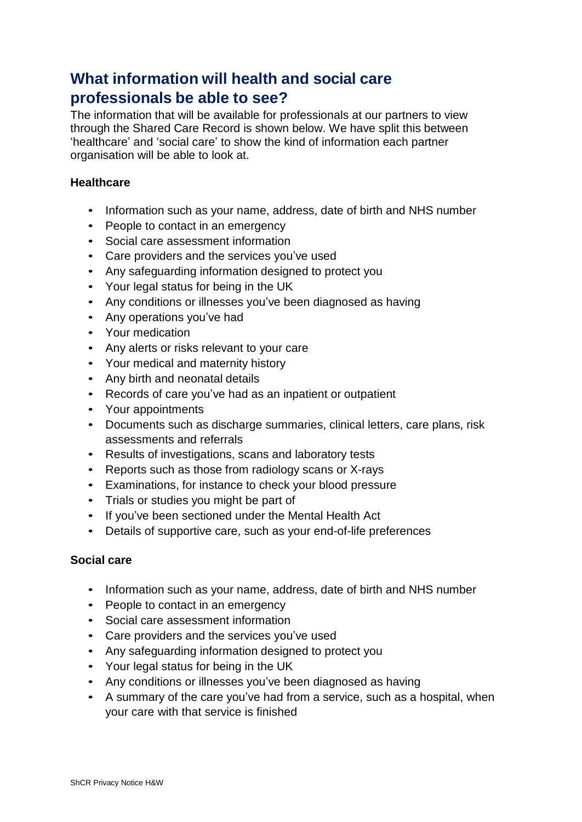# **What information will health and social care professionals be able to see?**

The information that will be available for professionals at our partners to view through the Shared Care Record is shown below. We have split this between 'healthcare' and 'social care' to show the kind of information each partner organisation will be able to look at.

### **Healthcare**

- Information such as your name, address, date of birth and NHS number
- People to contact in an emergency
- Social care assessment information
- Care providers and the services you've used
- Any safeguarding information designed to protect you
- Your legal status for being in the UK
- Any conditions or illnesses you've been diagnosed as having
- Any operations you've had
- Your medication
- Any alerts or risks relevant to your care
- Your medical and maternity history
- Any birth and neonatal details
- Records of care you've had as an inpatient or outpatient
- Your appointments
- Documents such as discharge summaries, clinical letters, care plans, risk assessments and referrals
- Results of investigations, scans and laboratory tests
- Reports such as those from radiology scans or X-rays
- Examinations, for instance to check your blood pressure
- Trials or studies you might be part of
- If you've been sectioned under the Mental Health Act
- Details of supportive care, such as your end-of-life preferences

#### **Social care**

- Information such as your name, address, date of birth and NHS number
- People to contact in an emergency
- Social care assessment information
- Care providers and the services you've used
- Any safeguarding information designed to protect you
- Your legal status for being in the UK
- Any conditions or illnesses you've been diagnosed as having
- A summary of the care you've had from a service, such as a hospital, when your care with that service is finished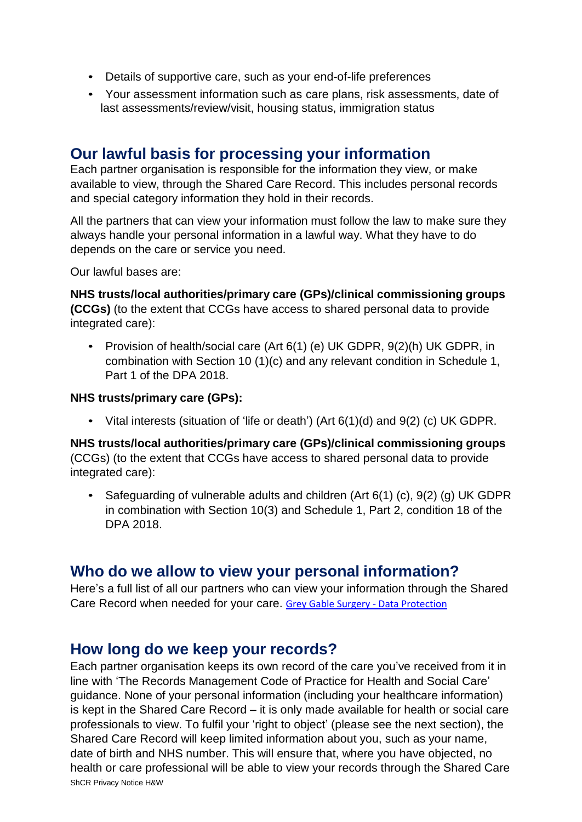- Details of supportive care, such as your end-of-life preferences
- Your assessment information such as care plans, risk assessments, date of last assessments/review/visit, housing status, immigration status

## **Our lawful basis for processing your information**

Each partner organisation is responsible for the information they view, or make available to view, through the Shared Care Record. This includes personal records and special category information they hold in their records.

All the partners that can view your information must follow the law to make sure they always handle your personal information in a lawful way. What they have to do depends on the care or service you need.

Our lawful bases are:

**NHS trusts/local authorities/primary care (GPs)/clinical commissioning groups (CCGs)** (to the extent that CCGs have access to shared personal data to provide integrated care):

• Provision of health/social care (Art 6(1) (e) UK GDPR, 9(2)(h) UK GDPR, in combination with Section 10 (1)(c) and any relevant condition in Schedule 1, Part 1 of the DPA 2018.

#### **NHS trusts/primary care (GPs):**

• Vital interests (situation of 'life or death') (Art 6(1)(d) and 9(2) (c) UK GDPR.

**NHS trusts/local authorities/primary care (GPs)/clinical commissioning groups**  (CCGs) (to the extent that CCGs have access to shared personal data to provide integrated care):

• Safeguarding of vulnerable adults and children (Art 6(1) (c), 9(2) (g) UK GDPR in combination with Section 10(3) and Schedule 1, Part 2, condition 18 of the DPA 2018.

### **Who do we allow to view your personal information?**

Here's a full list of all our partners who can view your information through the Shared Care Record when needed for your care. [Grey Gable Surgery -](https://www.greygablesurgery.com/info.aspx?p=17&pr=Y03602) Data Protection

### **How long do we keep your records?**

ShCR Privacy Notice H&W Each partner organisation keeps its own record of the care you've received from it in line with 'The Records Management Code of Practice for Health and Social Care' guidance. None of your personal information (including your healthcare information) is kept in the Shared Care Record – it is only made available for health or social care professionals to view. To fulfil your 'right to object' (please see the next section), the Shared Care Record will keep limited information about you, such as your name, date of birth and NHS number. This will ensure that, where you have objected, no health or care professional will be able to view your records through the Shared Care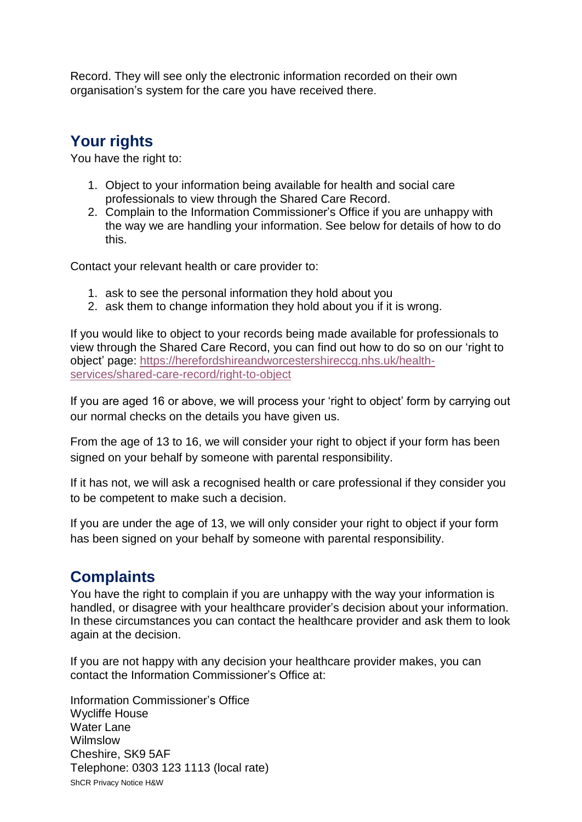Record. They will see only the electronic information recorded on their own organisation's system for the care you have received there.

# **Your rights**

You have the right to:

- 1. Object to your information being available for health and social care professionals to view through the Shared Care Record.
- 2. Complain to the Information Commissioner's Office if you are unhappy with the way we are handling your information. See below for details of how to do this.

Contact your relevant health or care provider to:

- 1. ask to see the personal information they hold about you
- 2. ask them to change information they hold about you if it is wrong.

If you would like to object to your records being made available for professionals to view through the Shared Care Record, you can find out how to do so on our 'right to object' page: [https://herefordshireandworcestershireccg.nhs.uk/health](https://herefordshireandworcestershireccg.nhs.uk/health-services/shared-care-record/right-to-object)[services/shared-care-record/right-to-object](https://herefordshireandworcestershireccg.nhs.uk/health-services/shared-care-record/right-to-object)

If you are aged 16 or above, we will process your 'right to object' form by carrying out our normal checks on the details you have given us.

From the age of 13 to 16, we will consider your right to object if your form has been signed on your behalf by someone with parental responsibility.

If it has not, we will ask a recognised health or care professional if they consider you to be competent to make such a decision.

If you are under the age of 13, we will only consider your right to object if your form has been signed on your behalf by someone with parental responsibility.

## **Complaints**

You have the right to complain if you are unhappy with the way your information is handled, or disagree with your healthcare provider's decision about your information. In these circumstances you can contact the healthcare provider and ask them to look again at the decision.

If you are not happy with any decision your healthcare provider makes, you can contact the Information Commissioner's Office at:

ShCR Privacy Notice H&W Information Commissioner's Office Wycliffe House Water Lane Wilmslow Cheshire, SK9 5AF Telephone: 0303 123 1113 (local rate)